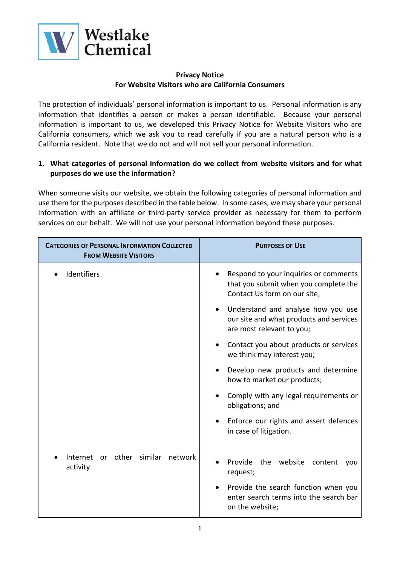

#### **Privacy Notice For Website Visitors who are California Consumers**

The protection of individuals' personal information is important to us. Personal information is any information that identifies a person or makes a person identifiable. Because your personal information is important to us, we developed this Privacy Notice for Website Visitors who are California consumers, which we ask you to read carefully if you are a natural person who is a California resident. Note that we do not and will not sell your personal information.

## **1. What categories of personal information do we collect from website visitors and for what purposes do we use the information?**

When someone visits our website, we obtain the following categories of personal information and use them for the purposes described in the table below. In some cases, we may share your personal information with an affiliate or third-party service provider as necessary for them to perform services on our behalf. We will not use your personal information beyond these purposes.

| <b>CATEGORIES OF PERSONAL INFORMATION COLLECTED</b><br><b>FROM WEBSITE VISITORS</b> | <b>PURPOSES OF USE</b>                                                                                                  |
|-------------------------------------------------------------------------------------|-------------------------------------------------------------------------------------------------------------------------|
| Identifiers                                                                         | Respond to your inquiries or comments<br>that you submit when you complete the<br>Contact Us form on our site;          |
|                                                                                     | Understand and analyse how you use<br>$\bullet$<br>our site and what products and services<br>are most relevant to you; |
|                                                                                     | Contact you about products or services<br>we think may interest you;                                                    |
|                                                                                     | Develop new products and determine<br>how to market our products;                                                       |
|                                                                                     | Comply with any legal requirements or<br>obligations; and                                                               |
|                                                                                     | Enforce our rights and assert defences<br>$\bullet$<br>in case of litigation.                                           |
| similar<br>other<br>Internet<br>network<br>or<br>activity                           | Provide the<br>website<br>content<br>you<br>request;                                                                    |
|                                                                                     | Provide the search function when you<br>enter search terms into the search bar<br>on the website;                       |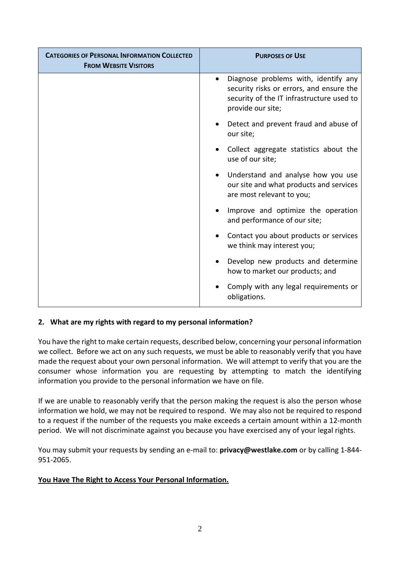| <b>CATEGORIES OF PERSONAL INFORMATION COLLECTED</b><br><b>FROM WEBSITE VISITORS</b> | <b>PURPOSES OF USE</b>                                                                                                                             |
|-------------------------------------------------------------------------------------|----------------------------------------------------------------------------------------------------------------------------------------------------|
|                                                                                     | Diagnose problems with, identify any<br>security risks or errors, and ensure the<br>security of the IT infrastructure used to<br>provide our site; |
|                                                                                     | Detect and prevent fraud and abuse of<br>our site;                                                                                                 |
|                                                                                     | Collect aggregate statistics about the<br>use of our site;                                                                                         |
|                                                                                     | Understand and analyse how you use<br>our site and what products and services<br>are most relevant to you;                                         |
|                                                                                     | Improve and optimize the operation<br>and performance of our site;                                                                                 |
|                                                                                     | Contact you about products or services<br>we think may interest you;                                                                               |
|                                                                                     | Develop new products and determine<br>how to market our products; and                                                                              |
|                                                                                     | Comply with any legal requirements or<br>obligations.                                                                                              |

# **2. What are my rights with regard to my personal information?**

You have the right to make certain requests, described below, concerning your personal information we collect. Before we act on any such requests, we must be able to reasonably verify that you have made the request about your own personal information. We will attempt to verify that you are the consumer whose information you are requesting by attempting to match the identifying information you provide to the personal information we have on file.

If we are unable to reasonably verify that the person making the request is also the person whose information we hold, we may not be required to respond. We may also not be required to respond to a request if the number of the requests you make exceeds a certain amount within a 12-month period. We will not discriminate against you because you have exercised any of your legal rights.

You may submit your requests by sending an e-mail to: **[privacy@westlake.com](mailto:privacy@westlake.com)** or by calling 1-844- 951-2065.

#### **You Have The Right to Access Your Personal Information.**